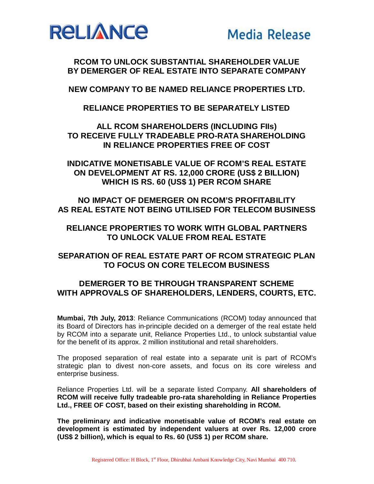

**RCOM TO UNLOCK SUBSTANTIAL SHAREHOLDER VALUE BY DEMERGER OF REAL ESTATE INTO SEPARATE COMPANY** 

**NEW COMPANY TO BE NAMED RELIANCE PROPERTIES LTD.**

**RELIANCE PROPERTIES TO BE SEPARATELY LISTED** 

**ALL RCOM SHAREHOLDERS (INCLUDING FIIs) TO RECEIVE FULLY TRADEABLE PRO-RATA SHAREHOLDING IN RELIANCE PROPERTIES FREE OF COST**

**INDICATIVE MONETISABLE VALUE OF RCOM'S REAL ESTATE ON DEVELOPMENT AT RS. 12,000 CRORE (US\$ 2 BILLION) WHICH IS RS. 60 (US\$ 1) PER RCOM SHARE**

**NO IMPACT OF DEMERGER ON RCOM'S PROFITABILITY AS REAL ESTATE NOT BEING UTILISED FOR TELECOM BUSINESS**

**RELIANCE PROPERTIES TO WORK WITH GLOBAL PARTNERS TO UNLOCK VALUE FROM REAL ESTATE**

## **SEPARATION OF REAL ESTATE PART OF RCOM STRATEGIC PLAN TO FOCUS ON CORE TELECOM BUSINESS**

## **DEMERGER TO BE THROUGH TRANSPARENT SCHEME WITH APPROVALS OF SHAREHOLDERS, LENDERS, COURTS, ETC.**

**Mumbai, 7th July, 2013**: Reliance Communications (RCOM) today announced that its Board of Directors has in-principle decided on a demerger of the real estate held by RCOM into a separate unit, Reliance Properties Ltd., to unlock substantial value for the benefit of its approx. 2 million institutional and retail shareholders.

The proposed separation of real estate into a separate unit is part of RCOM's strategic plan to divest non-core assets, and focus on its core wireless and enterprise business.

Reliance Properties Ltd. will be a separate listed Company. **All shareholders of RCOM will receive fully tradeable pro-rata shareholding in Reliance Properties Ltd., FREE OF COST, based on their existing shareholding in RCOM.**

**The preliminary and indicative monetisable value of RCOM's real estate on development is estimated by independent valuers at over Rs. 12,000 crore (US\$ 2 billion), which is equal to Rs. 60 (US\$ 1) per RCOM share.**